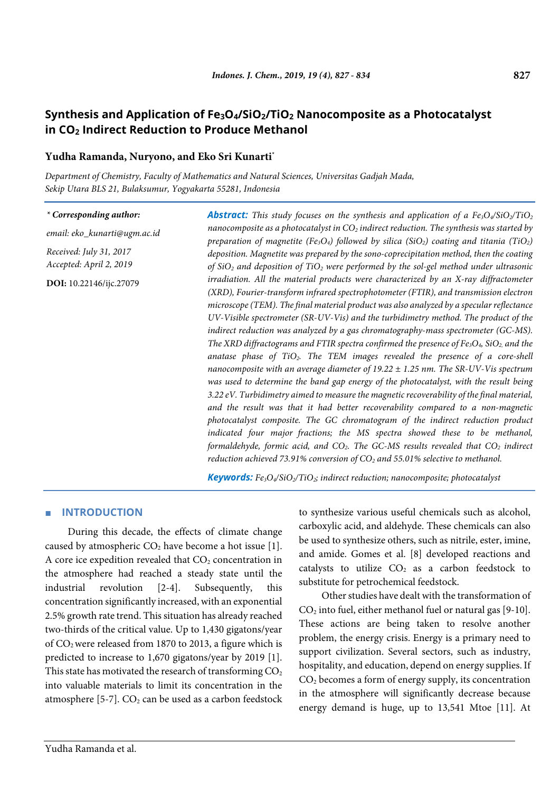#### **827**

# **Synthesis and Application of Fe3O4/SiO2/TiO2 Nanocomposite as a Photocatalyst in CO2 Indirect Reduction to Produce Methanol**

### **Yudha Ramanda, Nuryono, and Eko Sri Kunarti\***

*Department of Chemistry, Faculty of Mathematics and Natural Sciences, Universitas Gadjah Mada, Sekip Utara BLS 21, Bulaksumur, Yogyakarta 55281, Indonesia*

#### *\* Corresponding author:*

*email: eko\_kunarti@ugm.ac.id*

*Received: July 31, 2017 Accepted: April 2, 2019*

**DOI:** 10.22146/ijc.27079

**Abstract:** *This study focuses on the synthesis and application of a Fe<sub>3</sub>O<sub>4</sub>/SiO<sub>2</sub>/TiO<sub>2</sub> nanocomposite as a photocatalyst in CO<sub>2</sub> indirect reduction. The synthesis was started by preparation of magnetite (Fe3O4) followed by silica (SiO2) coating and titania (TiO2) deposition. Magnetite was prepared by the sono-coprecipitation method, then the coating of SiO2 and deposition of TiO2 were performed by the sol-gel method under ultrasonic irradiation. All the material products were characterized by an X-ray diffractometer (XRD), Fourier-transform infrared spectrophotometer (FTIR), and transmission electron microscope (TEM). The final material product was also analyzed by a specular reflectance UV-Visible spectrometer (SR-UV-Vis) and the turbidimetry method. The product of the indirect reduction was analyzed by a gas chromatography-mass spectrometer (GC-MS). The XRD diffractograms and FTIR spectra confirmed the presence of Fe3O4, SiO2, and the*  anatase phase of TiO<sub>2</sub>. The TEM images revealed the presence of a core-shell *nanocomposite with an average diameter of 19.22 ± 1.25 nm. The SR-UV-Vis spectrum was used to determine the band gap energy of the photocatalyst, with the result being 3.22 eV. Turbidimetry aimed to measure the magnetic recoverability of the final material, and the result was that it had better recoverability compared to a non-magnetic photocatalyst composite. The GC chromatogram of the indirect reduction product indicated four major fractions; the MS spectra showed these to be methanol, formaldehyde, formic acid, and CO<sub>2</sub>. The GC-MS results revealed that CO<sub>2</sub> <i>indirect reduction achieved 73.91% conversion of CO2 and 55.01% selective to methanol.*

*Keywords: Fe3O4/SiO2/TiO2; indirect reduction; nanocomposite; photocatalyst*

# ■ **INTRODUCTION**

During this decade, the effects of climate change caused by atmospheric  $CO<sub>2</sub>$  have become a hot issue [1]. A core ice expedition revealed that  $CO<sub>2</sub>$  concentration in the atmosphere had reached a steady state until the industrial revolution [2-4]. Subsequently, this concentration significantly increased, with an exponential 2.5% growth rate trend. This situation has already reached two-thirds of the critical value. Up to 1,430 gigatons/year of  $CO<sub>2</sub>$  were released from 1870 to 2013, a figure which is predicted to increase to 1,670 gigatons/year by 2019 [1]. This state has motivated the research of transforming  $CO<sub>2</sub>$ into valuable materials to limit its concentration in the atmosphere [5-7].  $CO<sub>2</sub>$  can be used as a carbon feedstock to synthesize various useful chemicals such as alcohol, carboxylic acid, and aldehyde. These chemicals can also be used to synthesize others, such as nitrile, ester, imine, and amide. Gomes et al. [8] developed reactions and catalysts to utilize  $CO<sub>2</sub>$  as a carbon feedstock to substitute for petrochemical feedstock.

Other studies have dealt with the transformation of CO2 into fuel, either methanol fuel or natural gas [9-10]. These actions are being taken to resolve another problem, the energy crisis. Energy is a primary need to support civilization. Several sectors, such as industry, hospitality, and education, depend on energy supplies. If CO2 becomes a form of energy supply, its concentration in the atmosphere will significantly decrease because energy demand is huge, up to 13,541 Mtoe [11]. At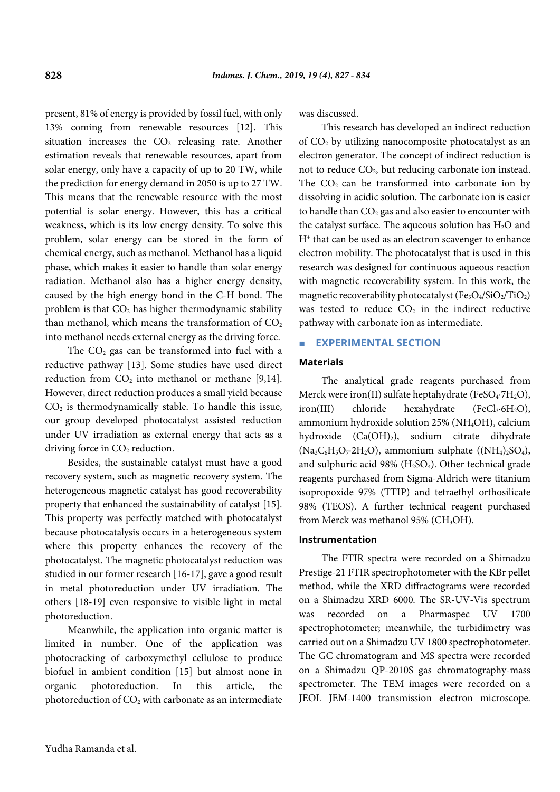present, 81% of energy is provided by fossil fuel, with only 13% coming from renewable resources [12]. This situation increases the  $CO<sub>2</sub>$  releasing rate. Another estimation reveals that renewable resources, apart from solar energy, only have a capacity of up to 20 TW, while the prediction for energy demand in 2050 is up to 27 TW. This means that the renewable resource with the most potential is solar energy. However, this has a critical weakness, which is its low energy density. To solve this problem, solar energy can be stored in the form of chemical energy, such as methanol. Methanol has a liquid phase, which makes it easier to handle than solar energy radiation. Methanol also has a higher energy density, caused by the high energy bond in the C-H bond. The problem is that  $CO<sub>2</sub>$  has higher thermodynamic stability than methanol, which means the transformation of  $CO<sub>2</sub>$ into methanol needs external energy as the driving force.

The  $CO<sub>2</sub>$  gas can be transformed into fuel with a reductive pathway [13]. Some studies have used direct reduction from  $CO<sub>2</sub>$  into methanol or methane [9,14]. However, direct reduction produces a small yield because  $CO<sub>2</sub>$  is thermodynamically stable. To handle this issue, our group developed photocatalyst assisted reduction under UV irradiation as external energy that acts as a driving force in  $CO<sub>2</sub>$  reduction.

Besides, the sustainable catalyst must have a good recovery system, such as magnetic recovery system. The heterogeneous magnetic catalyst has good recoverability property that enhanced the sustainability of catalyst [15]. This property was perfectly matched with photocatalyst because photocatalysis occurs in a heterogeneous system where this property enhances the recovery of the photocatalyst. The magnetic photocatalyst reduction was studied in our former research [16-17], gave a good result in metal photoreduction under UV irradiation. The others [18-19] even responsive to visible light in metal photoreduction.

Meanwhile, the application into organic matter is limited in number. One of the application was photocracking of carboxymethyl cellulose to produce biofuel in ambient condition [15] but almost none in organic photoreduction. In this article, the photoreduction of  $CO<sub>2</sub>$  with carbonate as an intermediate was discussed.

This research has developed an indirect reduction of  $CO<sub>2</sub>$  by utilizing nanocomposite photocatalyst as an electron generator. The concept of indirect reduction is not to reduce CO2, but reducing carbonate ion instead. The  $CO<sub>2</sub>$  can be transformed into carbonate ion by dissolving in acidic solution. The carbonate ion is easier to handle than  $CO<sub>2</sub>$  gas and also easier to encounter with the catalyst surface. The aqueous solution has  $H_2O$  and H<sup>+</sup> that can be used as an electron scavenger to enhance electron mobility. The photocatalyst that is used in this research was designed for continuous aqueous reaction with magnetic recoverability system. In this work, the magnetic recoverability photocatalyst (Fe<sub>3</sub>O<sub>4</sub>/SiO<sub>2</sub>/TiO<sub>2</sub>) was tested to reduce  $CO<sub>2</sub>$  in the indirect reductive pathway with carbonate ion as intermediate.

### **EXPERIMENTAL SECTION**

### **Materials**

The analytical grade reagents purchased from Merck were iron(II) sulfate heptahydrate (FeSO<sub>4</sub>·7H<sub>2</sub>O),  $iron(III)$  chloride hexahydrate (FeCl<sub>3</sub>·6H<sub>2</sub>O), ammonium hydroxide solution 25% (NH4OH), calcium hydroxide (Ca(OH)<sub>2</sub>), sodium citrate dihydrate  $(Na_3C_6H_5O_7.2H_2O)$ , ammonium sulphate  $((NH_4)_2SO_4)$ , and sulphuric acid 98%  $(H<sub>2</sub>SO<sub>4</sub>)$ . Other technical grade reagents purchased from Sigma-Aldrich were titanium isopropoxide 97% (TTIP) and tetraethyl orthosilicate 98% (TEOS). A further technical reagent purchased from Merck was methanol 95% (CH<sub>3</sub>OH).

### **Instrumentation**

The FTIR spectra were recorded on a Shimadzu Prestige-21 FTIR spectrophotometer with the KBr pellet method, while the XRD diffractograms were recorded on a Shimadzu XRD 6000. The SR-UV-Vis spectrum was recorded on a Pharmaspec UV 1700 spectrophotometer; meanwhile, the turbidimetry was carried out on a Shimadzu UV 1800 spectrophotometer. The GC chromatogram and MS spectra were recorded on a Shimadzu QP-2010S gas chromatography-mass spectrometer. The TEM images were recorded on a JEOL JEM-1400 transmission electron microscope.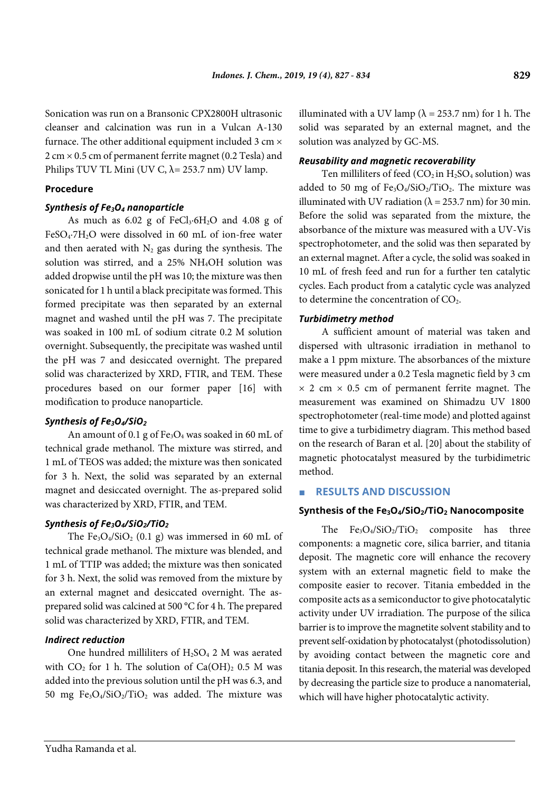Sonication was run on a Bransonic CPX2800H ultrasonic cleanser and calcination was run in a Vulcan A-130 furnace. The other additional equipment included 3 cm  $\times$ 2 cm × 0.5 cm of permanent ferrite magnet (0.2 Tesla) and Philips TUV TL Mini (UV C,  $\lambda$  = 253.7 nm) UV lamp.

### **Procedure**

### *Synthesis of Fe3O4 nanoparticle*

As much as  $6.02$  g of FeCl<sub>3</sub>·6H<sub>2</sub>O and  $4.08$  g of FeSO<sub>4</sub>·7H<sub>2</sub>O were dissolved in 60 mL of ion-free water and then aerated with  $N_2$  gas during the synthesis. The solution was stirred, and a 25% NH4OH solution was added dropwise until the pH was 10; the mixture was then sonicated for 1 h until a black precipitate was formed. This formed precipitate was then separated by an external magnet and washed until the pH was 7. The precipitate was soaked in 100 mL of sodium citrate 0.2 M solution overnight. Subsequently, the precipitate was washed until the pH was 7 and desiccated overnight. The prepared solid was characterized by XRD, FTIR, and TEM. These procedures based on our former paper [16] with modification to produce nanoparticle.

### *Synthesis of Fe3O4/SiO2*

An amount of 0.1 g of  $Fe<sub>3</sub>O<sub>4</sub>$  was soaked in 60 mL of technical grade methanol. The mixture was stirred, and 1 mL of TEOS was added; the mixture was then sonicated for 3 h. Next, the solid was separated by an external magnet and desiccated overnight. The as-prepared solid was characterized by XRD, FTIR, and TEM.

### *Synthesis of Fe3O4/SiO2/TiO2*

The  $Fe<sub>3</sub>O<sub>4</sub>/SiO<sub>2</sub>$  (0.1 g) was immersed in 60 mL of technical grade methanol. The mixture was blended, and 1 mL of TTIP was added; the mixture was then sonicated for 3 h. Next, the solid was removed from the mixture by an external magnet and desiccated overnight. The asprepared solid was calcined at 500 °C for 4 h. The prepared solid was characterized by XRD, FTIR, and TEM.

### *Indirect reduction*

One hundred milliliters of  $H<sub>2</sub>SO<sub>4</sub>$  2 M was aerated with  $CO<sub>2</sub>$  for 1 h. The solution of  $Ca(OH)<sub>2</sub> 0.5 M$  was added into the previous solution until the pH was 6.3, and 50 mg Fe<sub>3</sub>O<sub>4</sub>/SiO<sub>2</sub>/TiO<sub>2</sub> was added. The mixture was

illuminated with a UV lamp ( $\lambda$  = 253.7 nm) for 1 h. The solid was separated by an external magnet, and the solution was analyzed by GC-MS.

#### *Reusability and magnetic recoverability*

Ten milliliters of feed  $(CO_2)$  in  $H_2SO_4$  solution) was added to 50 mg of  $Fe<sub>3</sub>O<sub>4</sub>/SiO<sub>2</sub>/TiO<sub>2</sub>$ . The mixture was illuminated with UV radiation ( $\lambda = 253.7$  nm) for 30 min. Before the solid was separated from the mixture, the absorbance of the mixture was measured with a UV-Vis spectrophotometer, and the solid was then separated by an external magnet. After a cycle, the solid was soaked in 10 mL of fresh feed and run for a further ten catalytic cycles. Each product from a catalytic cycle was analyzed to determine the concentration of CO<sub>2</sub>.

### *Turbidimetry method*

A sufficient amount of material was taken and dispersed with ultrasonic irradiation in methanol to make a 1 ppm mixture. The absorbances of the mixture were measured under a 0.2 Tesla magnetic field by 3 cm  $\times$  2 cm  $\times$  0.5 cm of permanent ferrite magnet. The measurement was examined on Shimadzu UV 1800 spectrophotometer (real-time mode) and plotted against time to give a turbidimetry diagram. This method based on the research of Baran et al. [20] about the stability of magnetic photocatalyst measured by the turbidimetric method.

### ■ **RESULTS AND DISCUSSION**

### **Synthesis of the Fe3O4/SiO2/TiO2 Nanocomposite**

The  $Fe<sub>3</sub>O<sub>4</sub>/SiO<sub>2</sub>/TiO<sub>2</sub>$  composite has three components: a magnetic core, silica barrier, and titania deposit. The magnetic core will enhance the recovery system with an external magnetic field to make the composite easier to recover. Titania embedded in the composite acts as a semiconductor to give photocatalytic activity under UV irradiation. The purpose of the silica barrier is to improve the magnetite solvent stability and to prevent self-oxidation by photocatalyst (photodissolution) by avoiding contact between the magnetic core and titania deposit. In this research, the material was developed by decreasing the particle size to produce a nanomaterial, which will have higher photocatalytic activity.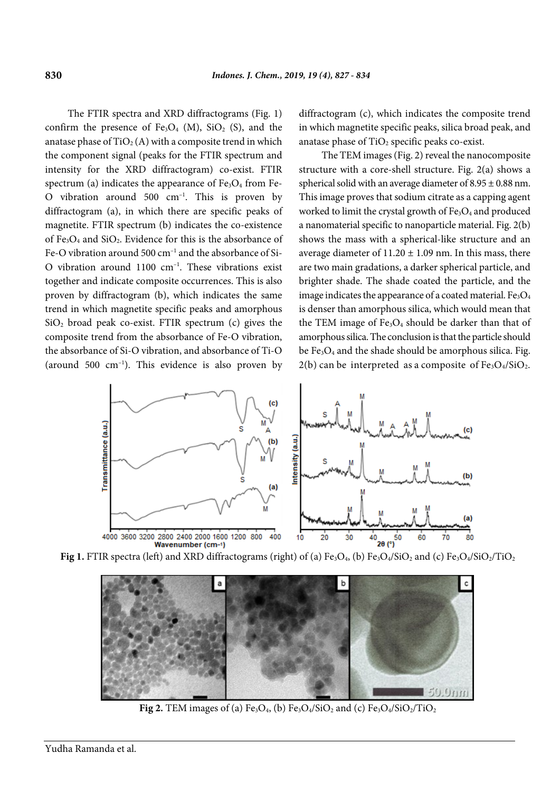The FTIR spectra and XRD diffractograms (Fig. 1) confirm the presence of  $Fe<sub>3</sub>O<sub>4</sub>$  (M),  $SiO<sub>2</sub>$  (S), and the anatase phase of  $TiO<sub>2</sub>(A)$  with a composite trend in which the component signal (peaks for the FTIR spectrum and intensity for the XRD diffractogram) co-exist. FTIR spectrum (a) indicates the appearance of  $Fe<sub>3</sub>O<sub>4</sub>$  from Fe-O vibration around  $500 \text{ cm}^{-1}$ . This is proven by diffractogram (a), in which there are specific peaks of magnetite. FTIR spectrum (b) indicates the co-existence of Fe3O4 and SiO2. Evidence for this is the absorbance of Fe-O vibration around 500 cm–1 and the absorbance of Si-O vibration around  $1100 \text{ cm}^{-1}$ . These vibrations exist together and indicate composite occurrences. This is also proven by diffractogram (b), which indicates the same trend in which magnetite specific peaks and amorphous  $SiO<sub>2</sub>$  broad peak co-exist. FTIR spectrum (c) gives the composite trend from the absorbance of Fe-O vibration, the absorbance of Si-O vibration, and absorbance of Ti-O (around 500  $cm^{-1}$ ). This evidence is also proven by

diffractogram (c), which indicates the composite trend in which magnetite specific peaks, silica broad peak, and anatase phase of  $TiO<sub>2</sub>$  specific peaks co-exist.

The TEM images (Fig. 2) reveal the nanocomposite structure with a core-shell structure. Fig. 2(a) shows a spherical solid with an average diameter of  $8.95 \pm 0.88$  nm. This image proves that sodium citrate as a capping agent worked to limit the crystal growth of  $Fe<sub>3</sub>O<sub>4</sub>$  and produced a nanomaterial specific to nanoparticle material. Fig. 2(b) shows the mass with a spherical-like structure and an average diameter of  $11.20 \pm 1.09$  nm. In this mass, there are two main gradations, a darker spherical particle, and brighter shade. The shade coated the particle, and the image indicates the appearance of a coated material.  $Fe<sub>3</sub>O<sub>4</sub>$ is denser than amorphous silica, which would mean that the TEM image of  $Fe<sub>3</sub>O<sub>4</sub>$  should be darker than that of amorphous silica. The conclusion is that the particle should be  $Fe<sub>3</sub>O<sub>4</sub>$  and the shade should be amorphous silica. Fig.  $2(b)$  can be interpreted as a composite of Fe<sub>3</sub>O<sub>4</sub>/SiO<sub>2</sub>.



Fig 1. FTIR spectra (left) and XRD diffractograms (right) of (a) Fe<sub>3</sub>O<sub>4</sub>, (b) Fe<sub>3</sub>O<sub>4</sub>/SiO<sub>2</sub> and (c) Fe<sub>3</sub>O<sub>4</sub>/SiO<sub>2</sub>/TiO<sub>2</sub>



**Fig 2.** TEM images of (a) Fe<sub>3</sub>O<sub>4</sub>, (b) Fe<sub>3</sub>O<sub>4</sub>/SiO<sub>2</sub> and (c) Fe<sub>3</sub>O<sub>4</sub>/SiO<sub>2</sub>/TiO<sub>2</sub>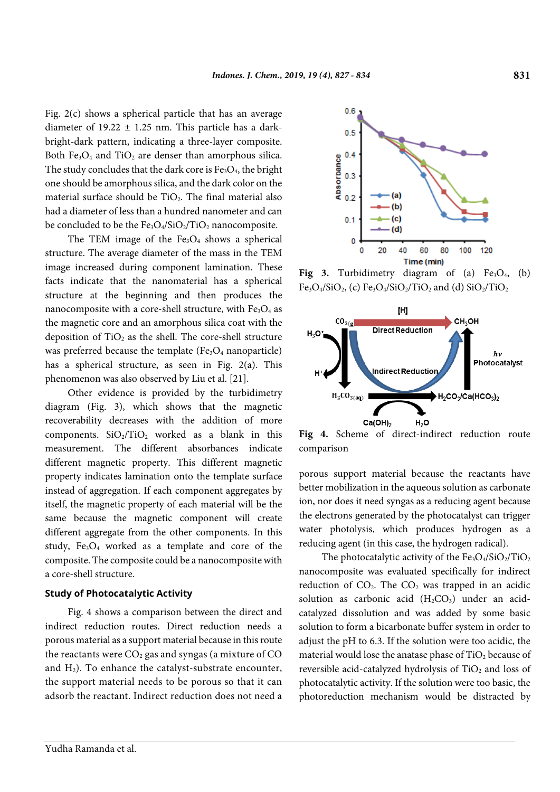Fig. 2(c) shows a spherical particle that has an average diameter of  $19.22 \pm 1.25$  nm. This particle has a darkbright-dark pattern, indicating a three-layer composite. Both  $Fe<sub>3</sub>O<sub>4</sub>$  and  $TiO<sub>2</sub>$  are denser than amorphous silica. The study concludes that the dark core is  $Fe<sub>3</sub>O<sub>4</sub>$ , the bright one should be amorphous silica, and the dark color on the material surface should be TiO<sub>2</sub>. The final material also had a diameter of less than a hundred nanometer and can be concluded to be the  $Fe<sub>3</sub>O<sub>4</sub>/SiO<sub>2</sub>/TiO<sub>2</sub> nanocomposite.$ 

The TEM image of the  $Fe<sub>3</sub>O<sub>4</sub>$  shows a spherical structure. The average diameter of the mass in the TEM image increased during component lamination. These facts indicate that the nanomaterial has a spherical structure at the beginning and then produces the nanocomposite with a core-shell structure, with  $Fe<sub>3</sub>O<sub>4</sub>$  as the magnetic core and an amorphous silica coat with the deposition of  $TiO<sub>2</sub>$  as the shell. The core-shell structure was preferred because the template  $(Fe<sub>3</sub>O<sub>4</sub>$  nanoparticle) has a spherical structure, as seen in Fig. 2(a). This phenomenon was also observed by Liu et al. [21].

Other evidence is provided by the turbidimetry diagram (Fig. 3), which shows that the magnetic recoverability decreases with the addition of more components.  $SiO<sub>2</sub>/TiO<sub>2</sub>$  worked as a blank in this measurement. The different absorbances indicate different magnetic property. This different magnetic property indicates lamination onto the template surface instead of aggregation. If each component aggregates by itself, the magnetic property of each material will be the same because the magnetic component will create different aggregate from the other components. In this study,  $Fe<sub>3</sub>O<sub>4</sub>$  worked as a template and core of the composite. The composite could be a nanocomposite with a core-shell structure.

#### **Study of Photocatalytic Activity**

Fig. 4 shows a comparison between the direct and indirect reduction routes. Direct reduction needs a porous material as a support material because in this route the reactants were  $CO<sub>2</sub>$  gas and syngas (a mixture of CO and  $H_2$ ). To enhance the catalyst-substrate encounter, the support material needs to be porous so that it can adsorb the reactant. Indirect reduction does not need a



Fig 3. Turbidimetry diagram of (a)  $Fe<sub>3</sub>O<sub>4</sub>$ , (b)  $Fe<sub>3</sub>O<sub>4</sub>/SiO<sub>2</sub>$ , (c)  $Fe<sub>3</sub>O<sub>4</sub>/SiO<sub>2</sub>/TiO<sub>2</sub>$  and (d)  $SiO<sub>2</sub>/TiO<sub>2</sub>$ 



**Fig 4.** Scheme of direct-indirect reduction route comparison

porous support material because the reactants have better mobilization in the aqueous solution as carbonate ion, nor does it need syngas as a reducing agent because the electrons generated by the photocatalyst can trigger water photolysis, which produces hydrogen as a reducing agent (in this case, the hydrogen radical).

The photocatalytic activity of the  $Fe<sub>3</sub>O<sub>4</sub>/SiO<sub>2</sub>/TiO<sub>2</sub>$ nanocomposite was evaluated specifically for indirect reduction of  $CO<sub>2</sub>$ . The  $CO<sub>2</sub>$  was trapped in an acidic solution as carbonic acid  $(H_2CO_3)$  under an acidcatalyzed dissolution and was added by some basic solution to form a bicarbonate buffer system in order to adjust the pH to 6.3. If the solution were too acidic, the material would lose the anatase phase of  $TiO<sub>2</sub>$  because of reversible acid-catalyzed hydrolysis of TiO<sub>2</sub> and loss of photocatalytic activity. If the solution were too basic, the photoreduction mechanism would be distracted by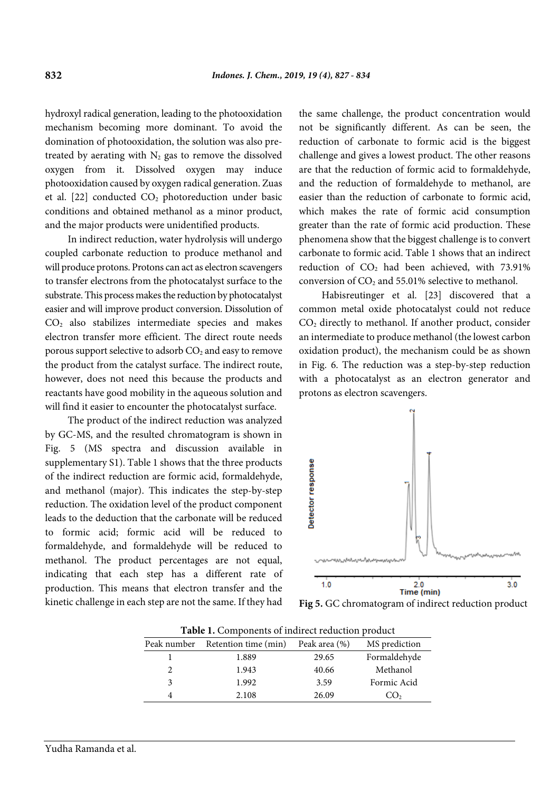hydroxyl radical generation, leading to the photooxidation mechanism becoming more dominant. To avoid the domination of photooxidation, the solution was also pretreated by aerating with  $N_2$  gas to remove the dissolved oxygen from it. Dissolved oxygen may induce photooxidation caused by oxygen radical generation. Zuas et al. [22] conducted CO<sub>2</sub> photoreduction under basic conditions and obtained methanol as a minor product, and the major products were unidentified products.

In indirect reduction, water hydrolysis will undergo coupled carbonate reduction to produce methanol and will produce protons. Protons can act as electron scavengers to transfer electrons from the photocatalyst surface to the substrate. This process makes the reduction by photocatalyst easier and will improve product conversion. Dissolution of CO2 also stabilizes intermediate species and makes electron transfer more efficient. The direct route needs porous support selective to adsorb  $CO<sub>2</sub>$  and easy to remove the product from the catalyst surface. The indirect route, however, does not need this because the products and reactants have good mobility in the aqueous solution and will find it easier to encounter the photocatalyst surface.

The product of the indirect reduction was analyzed by GC-MS, and the resulted chromatogram is shown in Fig. 5 (MS spectra and discussion available in supplementary S1). Table 1 shows that the three products of the indirect reduction are formic acid, formaldehyde, and methanol (major). This indicates the step-by-step reduction. The oxidation level of the product component leads to the deduction that the carbonate will be reduced to formic acid; formic acid will be reduced to formaldehyde, and formaldehyde will be reduced to methanol. The product percentages are not equal, indicating that each step has a different rate of production. This means that electron transfer and the kinetic challenge in each step are not the same. If they had the same challenge, the product concentration would not be significantly different. As can be seen, the reduction of carbonate to formic acid is the biggest challenge and gives a lowest product. The other reasons are that the reduction of formic acid to formaldehyde, and the reduction of formaldehyde to methanol, are easier than the reduction of carbonate to formic acid, which makes the rate of formic acid consumption greater than the rate of formic acid production. These phenomena show that the biggest challenge is to convert carbonate to formic acid. Table 1 shows that an indirect reduction of  $CO<sub>2</sub>$  had been achieved, with  $73.91\%$ conversion of  $CO<sub>2</sub>$  and 55.01% selective to methanol.

Habisreutinger et al. [23] discovered that a common metal oxide photocatalyst could not reduce CO2 directly to methanol. If another product, consider an intermediate to produce methanol (the lowest carbon oxidation product), the mechanism could be as shown in Fig. 6. The reduction was a step-by-step reduction with a photocatalyst as an electron generator and protons as electron scavengers.



**Fig 5.** GC chromatogram of indirect reduction product

| <b>Table 1.</b> Components of municial reduction product |                      |               |               |
|----------------------------------------------------------|----------------------|---------------|---------------|
| Peak number                                              | Retention time (min) | Peak area (%) | MS prediction |
|                                                          | 1.889                | 29.65         | Formaldehyde  |
|                                                          | 1.943                | 40.66         | Methanol      |
| 3                                                        | 1.992                | 3.59          | Formic Acid   |
|                                                          | 2.108                | 26.09         | CO2           |
|                                                          |                      |               |               |

**Table 1.** Components of indirect reduction product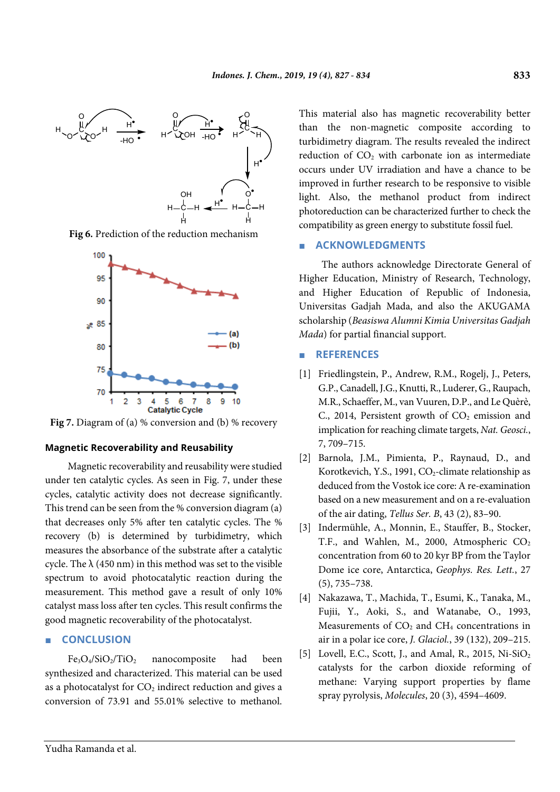

**Fig 6.** Prediction of the reduction mechanism



**Fig 7.** Diagram of (a) % conversion and (b) % recovery

#### **Magnetic Recoverability and Reusability**

Magnetic recoverability and reusability were studied under ten catalytic cycles. As seen in Fig. 7, under these cycles, catalytic activity does not decrease significantly. This trend can be seen from the % conversion diagram (a) that decreases only 5% after ten catalytic cycles. The % recovery (b) is determined by turbidimetry, which measures the absorbance of the substrate after a catalytic cycle. The  $\lambda$  (450 nm) in this method was set to the visible spectrum to avoid photocatalytic reaction during the measurement. This method gave a result of only 10% catalyst mass loss after ten cycles. This result confirms the good magnetic recoverability of the photocatalyst.

#### ■ **CONCLUSION**

Fe3O4/SiO2/TiO2 nanocomposite had been synthesized and characterized. This material can be used as a photocatalyst for  $CO<sub>2</sub>$  indirect reduction and gives a conversion of 73.91 and 55.01% selective to methanol.

This material also has magnetic recoverability better than the non-magnetic composite according to turbidimetry diagram. The results revealed the indirect reduction of  $CO<sub>2</sub>$  with carbonate ion as intermediate occurs under UV irradiation and have a chance to be improved in further research to be responsive to visible light. Also, the methanol product from indirect photoreduction can be characterized further to check the compatibility as green energy to substitute fossil fuel.

#### ■ **ACKNOWLEDGMENTS**

The authors acknowledge Directorate General of Higher Education, Ministry of Research, Technology, and Higher Education of Republic of Indonesia, Universitas Gadjah Mada, and also the AKUGAMA scholarship (*Beasiswa Alumni Kimia Universitas Gadjah Mada*) for partial financial support.

# ■ **REFERENCES**

- [1] Friedlingstein, P., Andrew, R.M., Rogelj, J., Peters, G.P., Canadell, J.G., Knutti, R., Luderer, G., Raupach, M.R., Schaeffer, M., van Vuuren, D.P., and Le Quèrè, C., 2014, Persistent growth of  $CO<sub>2</sub>$  emission and implication for reaching climate targets, *Nat. Geosci.*, 7, 709–715.
- [2] Barnola, J.M., Pimienta, P., Raynaud, D., and Korotkevich, Y.S., 1991,  $CO<sub>2</sub>$ -climate relationship as deduced from the Vostok ice core: A re-examination based on a new measurement and on a re-evaluation of the air dating, *Tellus Ser. B*, 43 (2), 83–90.
- [3] Indermühle, A., Monnin, E., Stauffer, B., Stocker, T.F., and Wahlen, M., 2000, Atmospheric  $CO<sub>2</sub>$ concentration from 60 to 20 kyr BP from the Taylor Dome ice core, Antarctica, *Geophys. Res. Lett.*, 27 (5), 735–738.
- [4] Nakazawa, T., Machida, T., Esumi, K., Tanaka, M., Fujii, Y., Aoki, S., and Watanabe, O., 1993, Measurements of  $CO<sub>2</sub>$  and  $CH<sub>4</sub>$  concentrations in air in a polar ice core, *J. Glaciol.*, 39 (132), 209–215.
- [5] Lovell, E.C., Scott, J., and Amal, R., 2015, Ni-SiO<sub>2</sub> catalysts for the carbon dioxide reforming of methane: Varying support properties by flame spray pyrolysis, *Molecules*, 20 (3), 4594–4609.